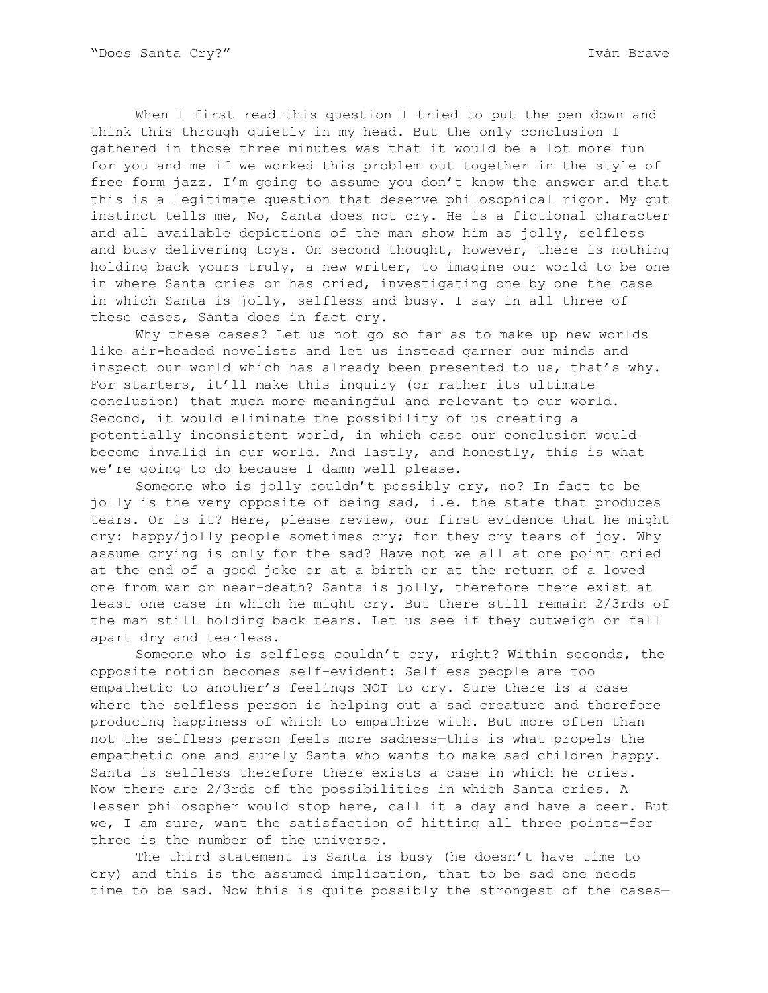When I first read this question I tried to put the pen down and think this through quietly in my head. But the only conclusion I gathered in those three minutes was that it would be a lot more fun for you and me if we worked this problem out together in the style of free form jazz. I'm going to assume you don't know the answer and that this is a legitimate question that deserve philosophical rigor. My gut instinct tells me, No, Santa does not cry. He is a fictional character and all available depictions of the man show him as jolly, selfless and busy delivering toys. On second thought, however, there is nothing holding back yours truly, a new writer, to imagine our world to be one in where Santa cries or has cried, investigating one by one the case in which Santa is jolly, selfless and busy. I say in all three of these cases, Santa does in fact cry.

Why these cases? Let us not go so far as to make up new worlds like air-headed novelists and let us instead garner our minds and inspect our world which has already been presented to us, that's why. For starters, it'll make this inquiry (or rather its ultimate conclusion) that much more meaningful and relevant to our world. Second, it would eliminate the possibility of us creating a potentially inconsistent world, in which case our conclusion would become invalid in our world. And lastly, and honestly, this is what we're going to do because I damn well please.

Someone who is jolly couldn't possibly cry, no? In fact to be jolly is the very opposite of being sad, i.e. the state that produces tears. Or is it? Here, please review, our first evidence that he might cry: happy/jolly people sometimes cry; for they cry tears of joy. Why assume crying is only for the sad? Have not we all at one point cried at the end of a good joke or at a birth or at the return of a loved one from war or near-death? Santa is jolly, therefore there exist at least one case in which he might cry. But there still remain 2/3rds of the man still holding back tears. Let us see if they outweigh or fall apart dry and tearless.

Someone who is selfless couldn't cry, right? Within seconds, the opposite notion becomes self-evident: Selfless people are too empathetic to another's feelings NOT to cry. Sure there is a case where the selfless person is helping out a sad creature and therefore producing happiness of which to empathize with. But more often than not the selfless person feels more sadness—this is what propels the empathetic one and surely Santa who wants to make sad children happy. Santa is selfless therefore there exists a case in which he cries. Now there are 2/3rds of the possibilities in which Santa cries. A lesser philosopher would stop here, call it a day and have a beer. But we, I am sure, want the satisfaction of hitting all three points—for three is the number of the universe.

The third statement is Santa is busy (he doesn't have time to cry) and this is the assumed implication, that to be sad one needs time to be sad. Now this is quite possibly the strongest of the cases